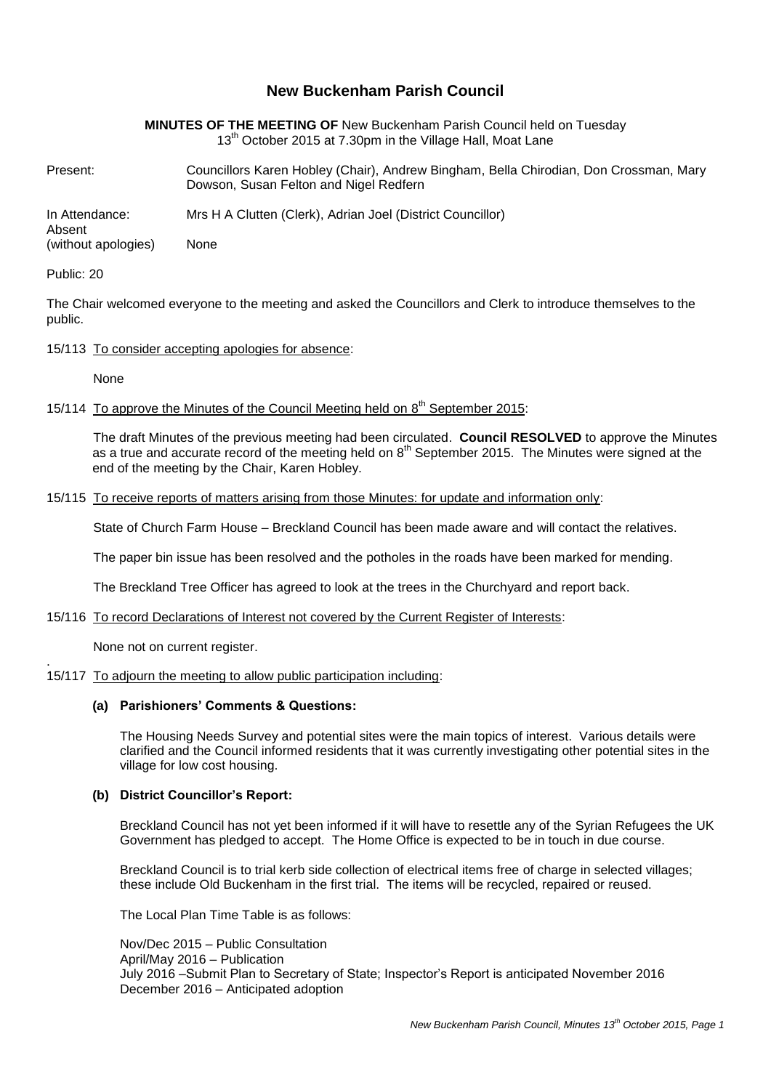# **New Buckenham Parish Council**

| <b>MINUTES OF THE MEETING OF New Buckenham Parish Council held on Tuesday</b> |
|-------------------------------------------------------------------------------|
| 13 <sup>th</sup> October 2015 at 7.30pm in the Village Hall, Moat Lane        |

Present: Councillors Karen Hobley (Chair), Andrew Bingham, Bella Chirodian, Don Crossman, Mary Dowson, Susan Felton and Nigel Redfern

In Attendance: Mrs H A Clutten (Clerk), Adrian Joel (District Councillor)

Absent (without apologies) None

### Public: 20

The Chair welcomed everyone to the meeting and asked the Councillors and Clerk to introduce themselves to the public.

### 15/113 To consider accepting apologies for absence:

None

## 15/114 To approve the Minutes of the Council Meeting held on 8<sup>th</sup> September 2015:

The draft Minutes of the previous meeting had been circulated. **Council RESOLVED** to approve the Minutes as a true and accurate record of the meeting held on  $8<sup>th</sup>$  September 2015. The Minutes were signed at the end of the meeting by the Chair, Karen Hobley.

### 15/115 To receive reports of matters arising from those Minutes: for update and information only:

State of Church Farm House – Breckland Council has been made aware and will contact the relatives.

The paper bin issue has been resolved and the potholes in the roads have been marked for mending.

The Breckland Tree Officer has agreed to look at the trees in the Churchyard and report back.

### 15/116 To record Declarations of Interest not covered by the Current Register of Interests:

None not on current register.

#### . 15/117 To adjourn the meeting to allow public participation including:

## **(a) Parishioners' Comments & Questions:**

The Housing Needs Survey and potential sites were the main topics of interest. Various details were clarified and the Council informed residents that it was currently investigating other potential sites in the village for low cost housing.

### **(b) District Councillor's Report:**

Breckland Council has not yet been informed if it will have to resettle any of the Syrian Refugees the UK Government has pledged to accept. The Home Office is expected to be in touch in due course.

Breckland Council is to trial kerb side collection of electrical items free of charge in selected villages; these include Old Buckenham in the first trial. The items will be recycled, repaired or reused.

The Local Plan Time Table is as follows:

Nov/Dec 2015 – Public Consultation April/May 2016 – Publication July 2016 –Submit Plan to Secretary of State; Inspector's Report is anticipated November 2016 December 2016 – Anticipated adoption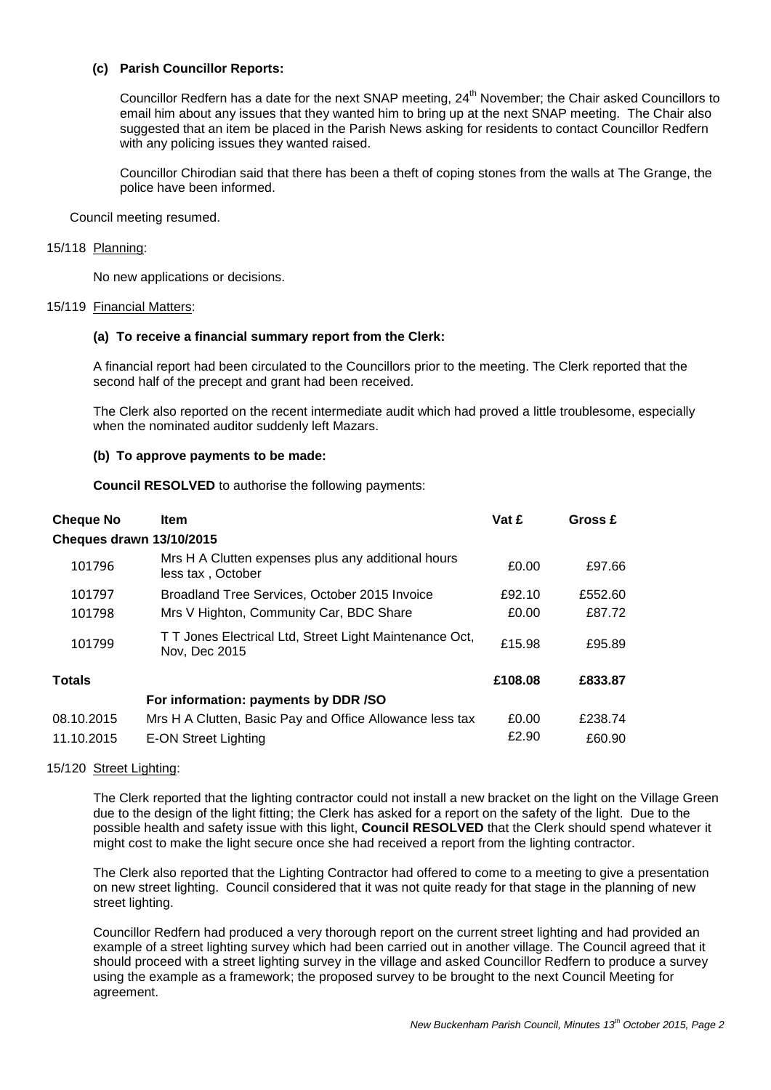### **(c) Parish Councillor Reports:**

Councillor Redfern has a date for the next SNAP meeting, 24<sup>th</sup> November; the Chair asked Councillors to email him about any issues that they wanted him to bring up at the next SNAP meeting. The Chair also suggested that an item be placed in the Parish News asking for residents to contact Councillor Redfern with any policing issues they wanted raised.

Councillor Chirodian said that there has been a theft of coping stones from the walls at The Grange, the police have been informed.

Council meeting resumed.

#### 15/118 Planning:

No new applications or decisions.

#### 15/119 Financial Matters:

### **(a) To receive a financial summary report from the Clerk:**

A financial report had been circulated to the Councillors prior to the meeting. The Clerk reported that the second half of the precept and grant had been received.

The Clerk also reported on the recent intermediate audit which had proved a little troublesome, especially when the nominated auditor suddenly left Mazars.

### **(b) To approve payments to be made:**

**Council RESOLVED** to authorise the following payments:

| <b>Cheque No</b>                | <b>Item</b>                                                              | Vat £   | Gross £ |
|---------------------------------|--------------------------------------------------------------------------|---------|---------|
| <b>Cheques drawn 13/10/2015</b> |                                                                          |         |         |
| 101796                          | Mrs H A Clutten expenses plus any additional hours<br>less tax, October  | £0.00   | £97.66  |
| 101797                          | Broadland Tree Services, October 2015 Invoice                            | £92.10  | £552.60 |
| 101798                          | Mrs V Highton, Community Car, BDC Share                                  | £0.00   | £87.72  |
| 101799                          | T T Jones Electrical Ltd, Street Light Maintenance Oct,<br>Nov, Dec 2015 | £15.98  | £95.89  |
| <b>Totals</b>                   |                                                                          | £108.08 | £833.87 |
|                                 | For information: payments by DDR /SO                                     |         |         |
| 08.10.2015                      | Mrs H A Clutten, Basic Pay and Office Allowance less tax                 | £0.00   | £238.74 |
| 11.10.2015                      | E-ON Street Lighting                                                     | £2.90   | £60.90  |

### 15/120 Street Lighting:

The Clerk reported that the lighting contractor could not install a new bracket on the light on the Village Green due to the design of the light fitting; the Clerk has asked for a report on the safety of the light. Due to the possible health and safety issue with this light, **Council RESOLVED** that the Clerk should spend whatever it might cost to make the light secure once she had received a report from the lighting contractor.

The Clerk also reported that the Lighting Contractor had offered to come to a meeting to give a presentation on new street lighting. Council considered that it was not quite ready for that stage in the planning of new street lighting.

Councillor Redfern had produced a very thorough report on the current street lighting and had provided an example of a street lighting survey which had been carried out in another village. The Council agreed that it should proceed with a street lighting survey in the village and asked Councillor Redfern to produce a survey using the example as a framework; the proposed survey to be brought to the next Council Meeting for agreement.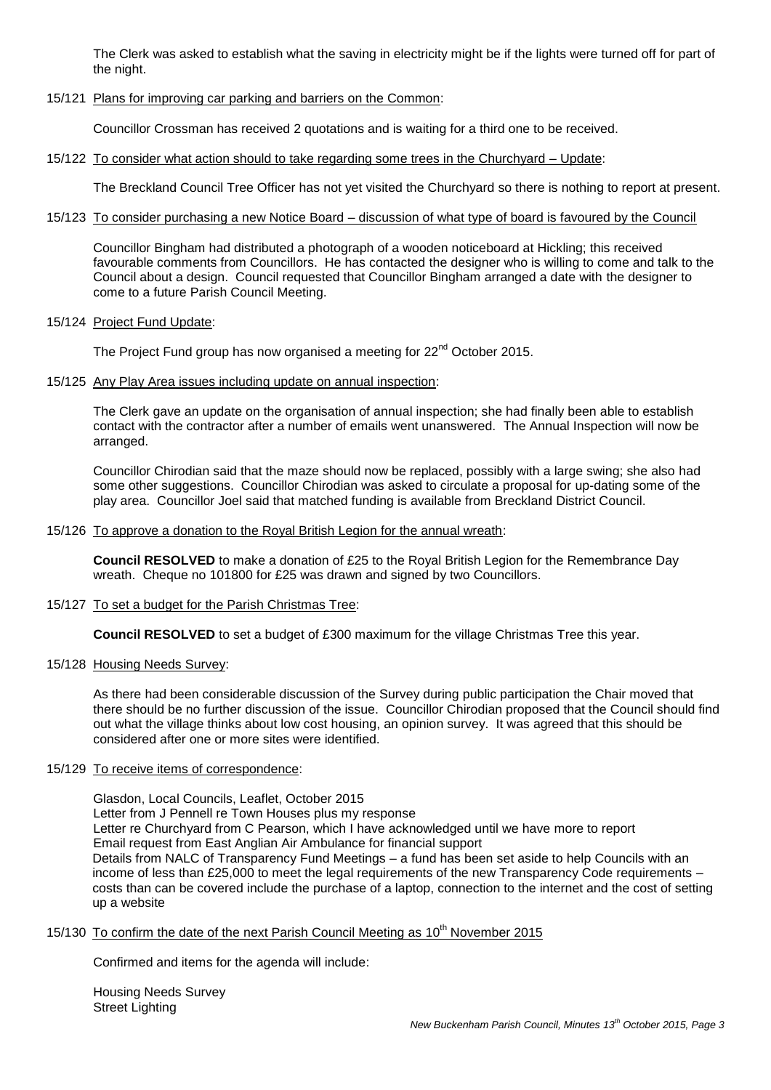The Clerk was asked to establish what the saving in electricity might be if the lights were turned off for part of the night.

### 15/121 Plans for improving car parking and barriers on the Common:

Councillor Crossman has received 2 quotations and is waiting for a third one to be received.

### 15/122 To consider what action should to take regarding some trees in the Churchyard – Update:

The Breckland Council Tree Officer has not yet visited the Churchyard so there is nothing to report at present.

### 15/123 To consider purchasing a new Notice Board – discussion of what type of board is favoured by the Council

Councillor Bingham had distributed a photograph of a wooden noticeboard at Hickling; this received favourable comments from Councillors. He has contacted the designer who is willing to come and talk to the Council about a design. Council requested that Councillor Bingham arranged a date with the designer to come to a future Parish Council Meeting.

### 15/124 Project Fund Update:

The Project Fund group has now organised a meeting for 22<sup>nd</sup> October 2015.

15/125 Any Play Area issues including update on annual inspection:

The Clerk gave an update on the organisation of annual inspection; she had finally been able to establish contact with the contractor after a number of emails went unanswered. The Annual Inspection will now be arranged.

Councillor Chirodian said that the maze should now be replaced, possibly with a large swing; she also had some other suggestions. Councillor Chirodian was asked to circulate a proposal for up-dating some of the play area. Councillor Joel said that matched funding is available from Breckland District Council.

### 15/126 To approve a donation to the Royal British Legion for the annual wreath:

**Council RESOLVED** to make a donation of £25 to the Royal British Legion for the Remembrance Day wreath. Cheque no 101800 for £25 was drawn and signed by two Councillors.

### 15/127 To set a budget for the Parish Christmas Tree:

**Council RESOLVED** to set a budget of £300 maximum for the village Christmas Tree this year.

### 15/128 Housing Needs Survey:

As there had been considerable discussion of the Survey during public participation the Chair moved that there should be no further discussion of the issue. Councillor Chirodian proposed that the Council should find out what the village thinks about low cost housing, an opinion survey. It was agreed that this should be considered after one or more sites were identified.

### 15/129 To receive items of correspondence:

Glasdon, Local Councils, Leaflet, October 2015 Letter from J Pennell re Town Houses plus my response Letter re Churchyard from C Pearson, which I have acknowledged until we have more to report Email request from East Anglian Air Ambulance for financial support Details from NALC of Transparency Fund Meetings – a fund has been set aside to help Councils with an income of less than £25,000 to meet the legal requirements of the new Transparency Code requirements – costs than can be covered include the purchase of a laptop, connection to the internet and the cost of setting up a website

### 15/130 To confirm the date of the next Parish Council Meeting as 10<sup>th</sup> November 2015

Confirmed and items for the agenda will include:

Housing Needs Survey Street Lighting